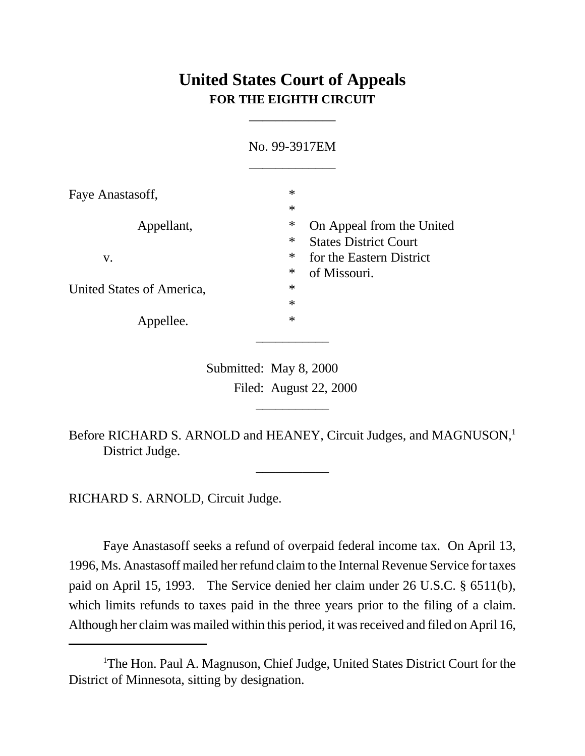# **United States Court of Appeals FOR THE EIGHTH CIRCUIT**

\_\_\_\_\_\_\_\_\_\_\_\_\_

|                           | No. 99-3917EM                                                                 |  |
|---------------------------|-------------------------------------------------------------------------------|--|
| Faye Anastasoff,          | $\ast$<br>$\ast$                                                              |  |
| Appellant,                | $\ast$<br>On Appeal from the United<br>$\ast$<br><b>States District Court</b> |  |
| V.                        | $\ast$<br>for the Eastern District<br>$\ast$<br>of Missouri.                  |  |
| United States of America, | $\ast$                                                                        |  |
|                           | $\ast$                                                                        |  |
| Appellee.                 | $\ast$                                                                        |  |

 Submitted: May 8, 2000 Filed: August 22, 2000

Before RICHARD S. ARNOLD and HEANEY, Circuit Judges, and MAGNUSON,<sup>1</sup> District Judge.

\_\_\_\_\_\_\_\_\_\_\_

\_\_\_\_\_\_\_\_\_\_\_

RICHARD S. ARNOLD, Circuit Judge.

Faye Anastasoff seeks a refund of overpaid federal income tax. On April 13, 1996, Ms. Anastasoff mailed her refund claim to the Internal Revenue Service for taxes paid on April 15, 1993. The Service denied her claim under 26 U.S.C. § 6511(b), which limits refunds to taxes paid in the three years prior to the filing of a claim. Although her claim was mailed within this period, it was received and filed on April 16,

<sup>&</sup>lt;sup>1</sup>The Hon. Paul A. Magnuson, Chief Judge, United States District Court for the District of Minnesota, sitting by designation.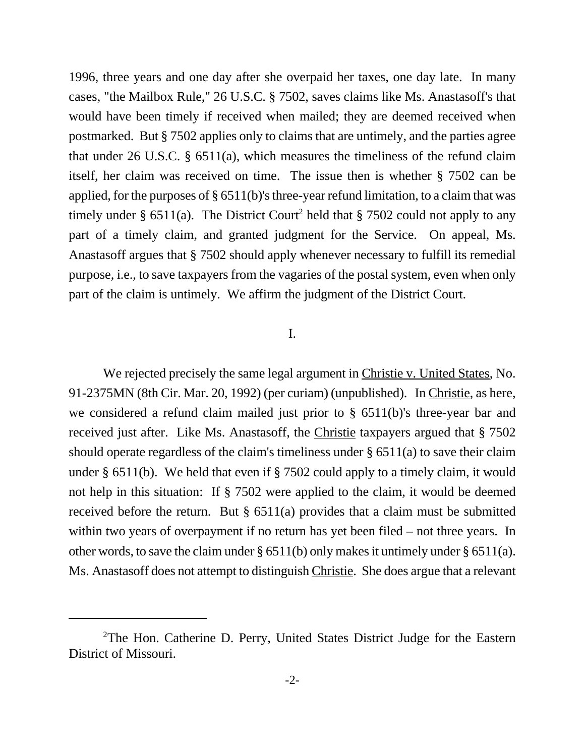1996, three years and one day after she overpaid her taxes, one day late. In many cases, "the Mailbox Rule," 26 U.S.C. § 7502, saves claims like Ms. Anastasoff's that would have been timely if received when mailed; they are deemed received when postmarked. But § 7502 applies only to claims that are untimely, and the parties agree that under 26 U.S.C. § 6511(a), which measures the timeliness of the refund claim itself, her claim was received on time. The issue then is whether § 7502 can be applied, for the purposes of § 6511(b)'s three-year refund limitation, to a claim that was timely under § 6511(a). The District Court<sup>2</sup> held that § 7502 could not apply to any part of a timely claim, and granted judgment for the Service. On appeal, Ms. Anastasoff argues that § 7502 should apply whenever necessary to fulfill its remedial purpose, i.e., to save taxpayers from the vagaries of the postal system, even when only part of the claim is untimely. We affirm the judgment of the District Court.

#### I.

We rejected precisely the same legal argument in Christie v. United States, No. 91-2375MN (8th Cir. Mar. 20, 1992) (per curiam) (unpublished). In Christie, as here, we considered a refund claim mailed just prior to § 6511(b)'s three-year bar and received just after. Like Ms. Anastasoff, the Christie taxpayers argued that § 7502 should operate regardless of the claim's timeliness under § 6511(a) to save their claim under § 6511(b). We held that even if § 7502 could apply to a timely claim, it would not help in this situation: If § 7502 were applied to the claim, it would be deemed received before the return. But  $\S$  6511(a) provides that a claim must be submitted within two years of overpayment if no return has yet been filed – not three years. In other words, to save the claim under § 6511(b) only makes it untimely under § 6511(a). Ms. Anastasoff does not attempt to distinguish Christie. She does argue that a relevant

<sup>&</sup>lt;sup>2</sup>The Hon. Catherine D. Perry, United States District Judge for the Eastern District of Missouri.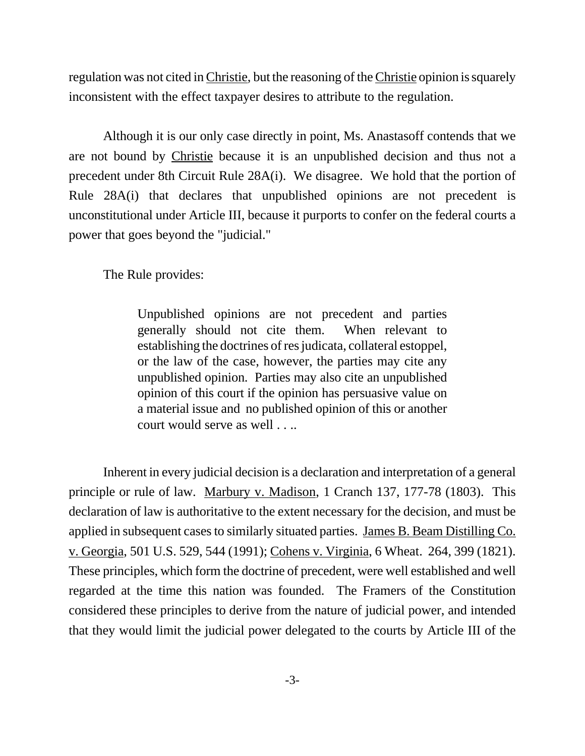regulation was not cited in Christie, but the reasoning of the Christie opinion is squarely inconsistent with the effect taxpayer desires to attribute to the regulation.

Although it is our only case directly in point, Ms. Anastasoff contends that we are not bound by Christie because it is an unpublished decision and thus not a precedent under 8th Circuit Rule 28A(i). We disagree. We hold that the portion of Rule 28A(i) that declares that unpublished opinions are not precedent is unconstitutional under Article III, because it purports to confer on the federal courts a power that goes beyond the "judicial."

The Rule provides:

Unpublished opinions are not precedent and parties generally should not cite them. When relevant to establishing the doctrines of res judicata, collateral estoppel, or the law of the case, however, the parties may cite any unpublished opinion. Parties may also cite an unpublished opinion of this court if the opinion has persuasive value on a material issue and no published opinion of this or another court would serve as well . . ..

Inherent in every judicial decision is a declaration and interpretation of a general principle or rule of law. Marbury v. Madison, 1 Cranch 137, 177-78 (1803). This declaration of law is authoritative to the extent necessary for the decision, and must be applied in subsequent cases to similarly situated parties. James B. Beam Distilling Co. v. Georgia, 501 U.S. 529, 544 (1991); Cohens v. Virginia, 6 Wheat. 264, 399 (1821). These principles, which form the doctrine of precedent, were well established and well regarded at the time this nation was founded. The Framers of the Constitution considered these principles to derive from the nature of judicial power, and intended that they would limit the judicial power delegated to the courts by Article III of the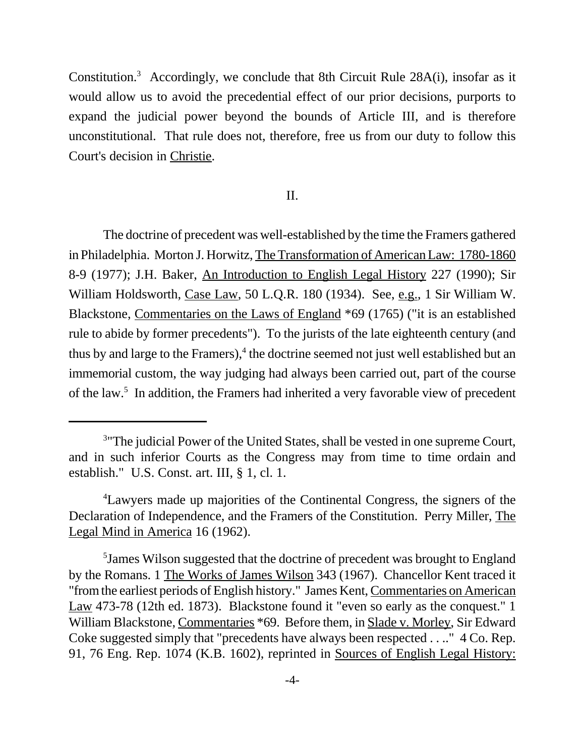Constitution.<sup>3</sup> Accordingly, we conclude that 8th Circuit Rule 28A(i), insofar as it would allow us to avoid the precedential effect of our prior decisions, purports to expand the judicial power beyond the bounds of Article III, and is therefore unconstitutional. That rule does not, therefore, free us from our duty to follow this Court's decision in Christie.

## II.

The doctrine of precedent was well-established by the time the Framers gathered in Philadelphia. Morton J. Horwitz, The Transformation of American Law: 1780-1860 8-9 (1977); J.H. Baker, An Introduction to English Legal History 227 (1990); Sir William Holdsworth, Case Law, 50 L.Q.R. 180 (1934). See, e.g., 1 Sir William W. Blackstone, Commentaries on the Laws of England \*69 (1765) ("it is an established rule to abide by former precedents"). To the jurists of the late eighteenth century (and thus by and large to the Framers),<sup>4</sup> the doctrine seemed not just well established but an immemorial custom, the way judging had always been carried out, part of the course of the law.<sup>5</sup> In addition, the Framers had inherited a very favorable view of precedent

<sup>&</sup>lt;sup>3</sup> The judicial Power of the United States, shall be vested in one supreme Court, and in such inferior Courts as the Congress may from time to time ordain and establish." U.S. Const. art. III, § 1, cl. 1.

<sup>4</sup>Lawyers made up majorities of the Continental Congress, the signers of the Declaration of Independence, and the Framers of the Constitution. Perry Miller, The Legal Mind in America 16 (1962).

<sup>5</sup> James Wilson suggested that the doctrine of precedent was brought to England by the Romans. 1 The Works of James Wilson 343 (1967). Chancellor Kent traced it "from the earliest periods of English history." James Kent, Commentaries on American Law 473-78 (12th ed. 1873). Blackstone found it "even so early as the conquest." 1 William Blackstone, Commentaries \*69. Before them, in Slade v. Morley, Sir Edward Coke suggested simply that "precedents have always been respected . . .." 4 Co. Rep. 91, 76 Eng. Rep. 1074 (K.B. 1602), reprinted in Sources of English Legal History: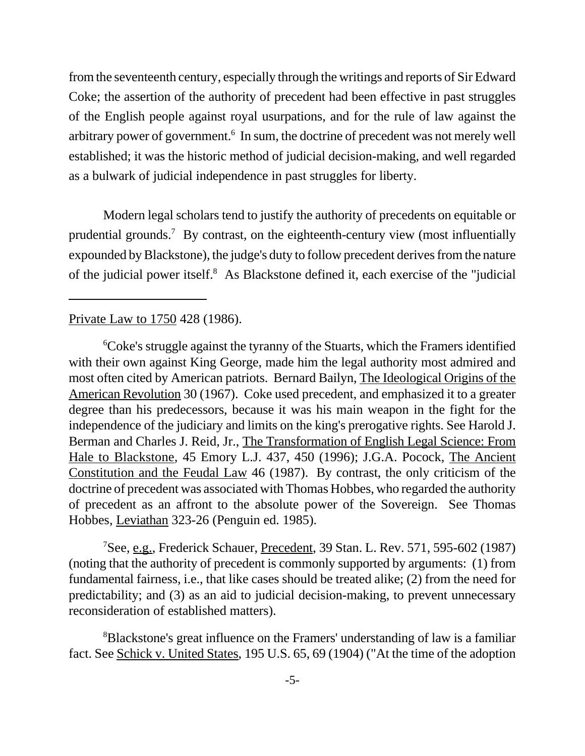from the seventeenth century, especially through the writings and reports of Sir Edward Coke; the assertion of the authority of precedent had been effective in past struggles of the English people against royal usurpations, and for the rule of law against the arbitrary power of government.<sup>6</sup> In sum, the doctrine of precedent was not merely well established; it was the historic method of judicial decision-making, and well regarded as a bulwark of judicial independence in past struggles for liberty.

Modern legal scholars tend to justify the authority of precedents on equitable or prudential grounds.<sup>7</sup> By contrast, on the eighteenth-century view (most influentially expounded by Blackstone), the judge's duty to follow precedent derives from the nature of the judicial power itself.<sup>8</sup> As Blackstone defined it, each exercise of the "judicial

#### Private Law to 1750 428 (1986).

<sup>6</sup>Coke's struggle against the tyranny of the Stuarts, which the Framers identified with their own against King George, made him the legal authority most admired and most often cited by American patriots. Bernard Bailyn, The Ideological Origins of the American Revolution 30 (1967). Coke used precedent, and emphasized it to a greater degree than his predecessors, because it was his main weapon in the fight for the independence of the judiciary and limits on the king's prerogative rights. See Harold J. Berman and Charles J. Reid, Jr., The Transformation of English Legal Science: From Hale to Blackstone, 45 Emory L.J. 437, 450 (1996); J.G.A. Pocock, The Ancient Constitution and the Feudal Law 46 (1987). By contrast, the only criticism of the doctrine of precedent was associated with Thomas Hobbes, who regarded the authority of precedent as an affront to the absolute power of the Sovereign. See Thomas Hobbes, Leviathan 323-26 (Penguin ed. 1985).

<sup>7</sup>See, e.g., Frederick Schauer, Precedent, 39 Stan. L. Rev. 571, 595-602 (1987) (noting that the authority of precedent is commonly supported by arguments: (1) from fundamental fairness, i.e., that like cases should be treated alike; (2) from the need for predictability; and (3) as an aid to judicial decision-making, to prevent unnecessary reconsideration of established matters).

<sup>8</sup>Blackstone's great influence on the Framers' understanding of law is a familiar fact. See Schick v. United States, 195 U.S. 65, 69 (1904) ("At the time of the adoption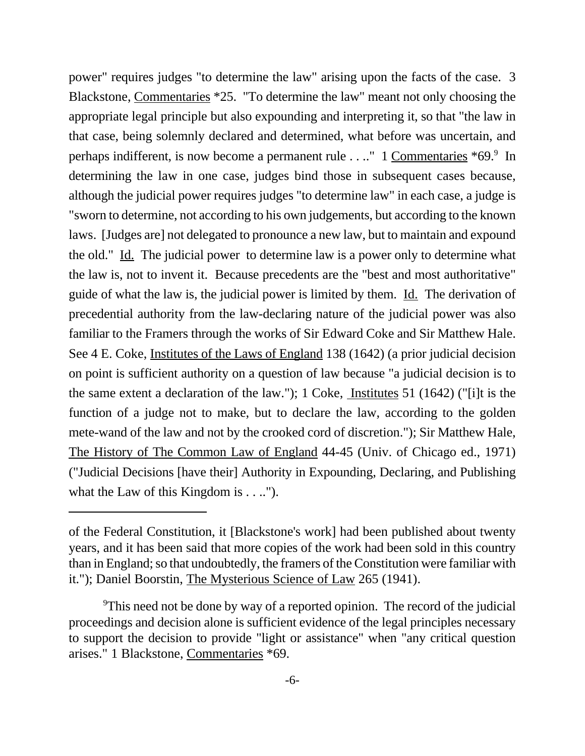power" requires judges "to determine the law" arising upon the facts of the case. 3 Blackstone, Commentaries \*25. "To determine the law" meant not only choosing the appropriate legal principle but also expounding and interpreting it, so that "the law in that case, being solemnly declared and determined, what before was uncertain, and perhaps indifferent, is now become a permanent rule . . .." 1 Commentaries \*69. In determining the law in one case, judges bind those in subsequent cases because, although the judicial power requires judges "to determine law" in each case, a judge is "sworn to determine, not according to his own judgements, but according to the known laws. [Judges are] not delegated to pronounce a new law, but to maintain and expound the old." Id. The judicial power to determine law is a power only to determine what the law is, not to invent it. Because precedents are the "best and most authoritative" guide of what the law is, the judicial power is limited by them. Id. The derivation of precedential authority from the law-declaring nature of the judicial power was also familiar to the Framers through the works of Sir Edward Coke and Sir Matthew Hale. See 4 E. Coke, Institutes of the Laws of England 138 (1642) (a prior judicial decision on point is sufficient authority on a question of law because "a judicial decision is to the same extent a declaration of the law."); 1 Coke, Institutes 51 (1642) ("[i]t is the function of a judge not to make, but to declare the law, according to the golden mete-wand of the law and not by the crooked cord of discretion."); Sir Matthew Hale, The History of The Common Law of England 44-45 (Univ. of Chicago ed., 1971) ("Judicial Decisions [have their] Authority in Expounding, Declaring, and Publishing what the Law of this Kingdom is . . ..").

of the Federal Constitution, it [Blackstone's work] had been published about twenty years, and it has been said that more copies of the work had been sold in this country than in England; so that undoubtedly, the framers of the Constitution were familiar with it."); Daniel Boorstin, The Mysterious Science of Law 265 (1941).

<sup>&</sup>lt;sup>9</sup>This need not be done by way of a reported opinion. The record of the judicial proceedings and decision alone is sufficient evidence of the legal principles necessary to support the decision to provide "light or assistance" when "any critical question arises." 1 Blackstone, Commentaries \*69.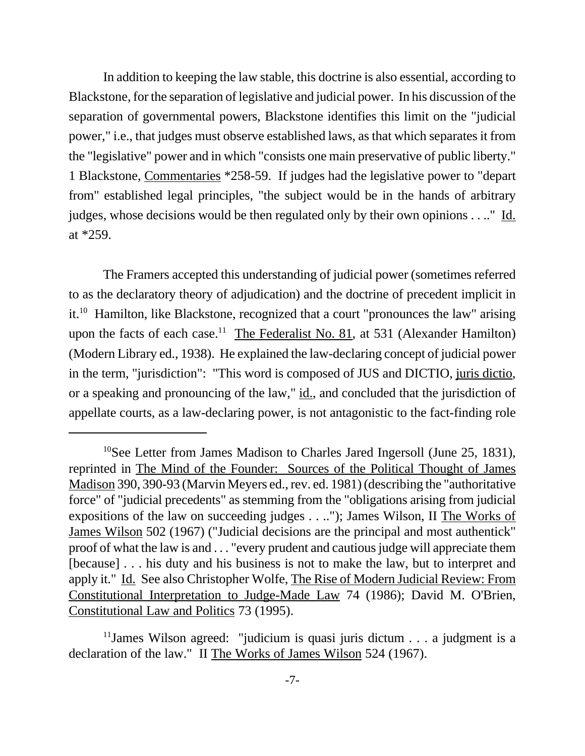In addition to keeping the law stable, this doctrine is also essential, according to Blackstone, for the separation of legislative and judicial power. In his discussion of the separation of governmental powers, Blackstone identifies this limit on the "judicial power," i.e., that judges must observe established laws, as that which separates it from the "legislative" power and in which "consists one main preservative of public liberty." 1 Blackstone, Commentaries \*258-59. If judges had the legislative power to "depart from" established legal principles, "the subject would be in the hands of arbitrary judges, whose decisions would be then regulated only by their own opinions . . .." Id. at \*259.

The Framers accepted this understanding of judicial power (sometimes referred to as the declaratory theory of adjudication) and the doctrine of precedent implicit in it.<sup>10</sup> Hamilton, like Blackstone, recognized that a court "pronounces the law" arising upon the facts of each case.<sup>11</sup> The Federalist No. 81, at 531 (Alexander Hamilton) (Modern Library ed., 1938). He explained the law-declaring concept of judicial power in the term, "jurisdiction": "This word is composed of JUS and DICTIO, juris dictio, or a speaking and pronouncing of the law," id., and concluded that the jurisdiction of appellate courts, as a law-declaring power, is not antagonistic to the fact-finding role

<sup>&</sup>lt;sup>10</sup>See Letter from James Madison to Charles Jared Ingersoll (June 25, 1831), reprinted in The Mind of the Founder: Sources of the Political Thought of James Madison 390, 390-93 (Marvin Meyers ed., rev. ed. 1981) (describing the "authoritative force" of "judicial precedents" as stemming from the "obligations arising from judicial expositions of the law on succeeding judges . . .."); James Wilson, II The Works of James Wilson 502 (1967) ("Judicial decisions are the principal and most authentick" proof of what the law is and . . . "every prudent and cautious judge will appreciate them [because] . . . his duty and his business is not to make the law, but to interpret and apply it." Id. See also Christopher Wolfe, The Rise of Modern Judicial Review: From Constitutional Interpretation to Judge-Made Law 74 (1986); David M. O'Brien, Constitutional Law and Politics 73 (1995).

 $11$ James Wilson agreed: "judicium is quasi juris dictum . . . a judgment is a declaration of the law." II The Works of James Wilson 524 (1967).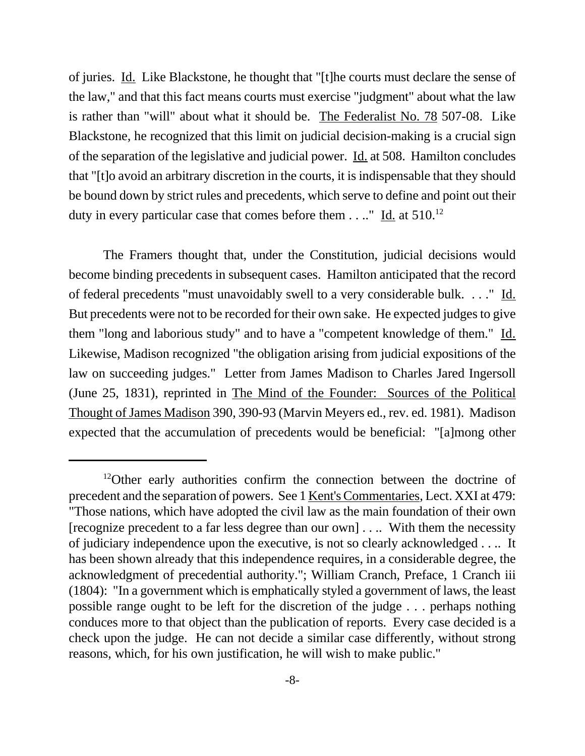of juries. Id. Like Blackstone, he thought that "[t]he courts must declare the sense of the law," and that this fact means courts must exercise "judgment" about what the law is rather than "will" about what it should be. The Federalist No. 78 507-08. Like Blackstone, he recognized that this limit on judicial decision-making is a crucial sign of the separation of the legislative and judicial power. Id. at 508. Hamilton concludes that "[t]o avoid an arbitrary discretion in the courts, it is indispensable that they should be bound down by strict rules and precedents, which serve to define and point out their duty in every particular case that comes before them  $\dots$ " Id. at 510.<sup>12</sup>

The Framers thought that, under the Constitution, judicial decisions would become binding precedents in subsequent cases. Hamilton anticipated that the record of federal precedents "must unavoidably swell to a very considerable bulk. . . ." Id. But precedents were not to be recorded for their own sake. He expected judges to give them "long and laborious study" and to have a "competent knowledge of them." Id. Likewise, Madison recognized "the obligation arising from judicial expositions of the law on succeeding judges." Letter from James Madison to Charles Jared Ingersoll (June 25, 1831), reprinted in The Mind of the Founder: Sources of the Political Thought of James Madison 390, 390-93 (Marvin Meyers ed., rev. ed. 1981). Madison expected that the accumulation of precedents would be beneficial: "[a]mong other

<sup>&</sup>lt;sup>12</sup>Other early authorities confirm the connection between the doctrine of precedent and the separation of powers. See 1 Kent's Commentaries, Lect. XXI at 479: "Those nations, which have adopted the civil law as the main foundation of their own [recognize precedent to a far less degree than our own] . . .. With them the necessity of judiciary independence upon the executive, is not so clearly acknowledged . . .. It has been shown already that this independence requires, in a considerable degree, the acknowledgment of precedential authority."; William Cranch, Preface, 1 Cranch iii (1804): "In a government which is emphatically styled a government of laws, the least possible range ought to be left for the discretion of the judge . . . perhaps nothing conduces more to that object than the publication of reports. Every case decided is a check upon the judge. He can not decide a similar case differently, without strong reasons, which, for his own justification, he will wish to make public."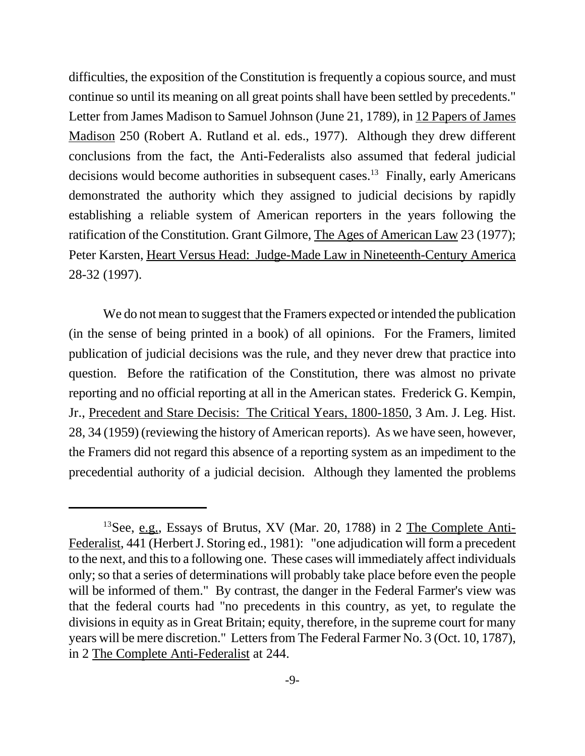difficulties, the exposition of the Constitution is frequently a copious source, and must continue so until its meaning on all great points shall have been settled by precedents." Letter from James Madison to Samuel Johnson (June 21, 1789), in 12 Papers of James Madison 250 (Robert A. Rutland et al. eds., 1977). Although they drew different conclusions from the fact, the Anti-Federalists also assumed that federal judicial decisions would become authorities in subsequent cases.<sup>13</sup> Finally, early Americans demonstrated the authority which they assigned to judicial decisions by rapidly establishing a reliable system of American reporters in the years following the ratification of the Constitution. Grant Gilmore, The Ages of American Law 23 (1977); Peter Karsten, Heart Versus Head: Judge-Made Law in Nineteenth-Century America 28-32 (1997).

We do not mean to suggest that the Framers expected or intended the publication (in the sense of being printed in a book) of all opinions. For the Framers, limited publication of judicial decisions was the rule, and they never drew that practice into question. Before the ratification of the Constitution, there was almost no private reporting and no official reporting at all in the American states. Frederick G. Kempin, Jr., Precedent and Stare Decisis: The Critical Years, 1800-1850, 3 Am. J. Leg. Hist. 28, 34 (1959) (reviewing the history of American reports). As we have seen, however, the Framers did not regard this absence of a reporting system as an impediment to the precedential authority of a judicial decision. Although they lamented the problems

<sup>&</sup>lt;sup>13</sup>See, e.g., Essays of Brutus, XV (Mar. 20, 1788) in 2 The Complete Anti-Federalist, 441 (Herbert J. Storing ed., 1981): "one adjudication will form a precedent to the next, and this to a following one. These cases will immediately affect individuals only; so that a series of determinations will probably take place before even the people will be informed of them." By contrast, the danger in the Federal Farmer's view was that the federal courts had "no precedents in this country, as yet, to regulate the divisions in equity as in Great Britain; equity, therefore, in the supreme court for many years will be mere discretion." Letters from The Federal Farmer No. 3 (Oct. 10, 1787), in 2 The Complete Anti-Federalist at 244.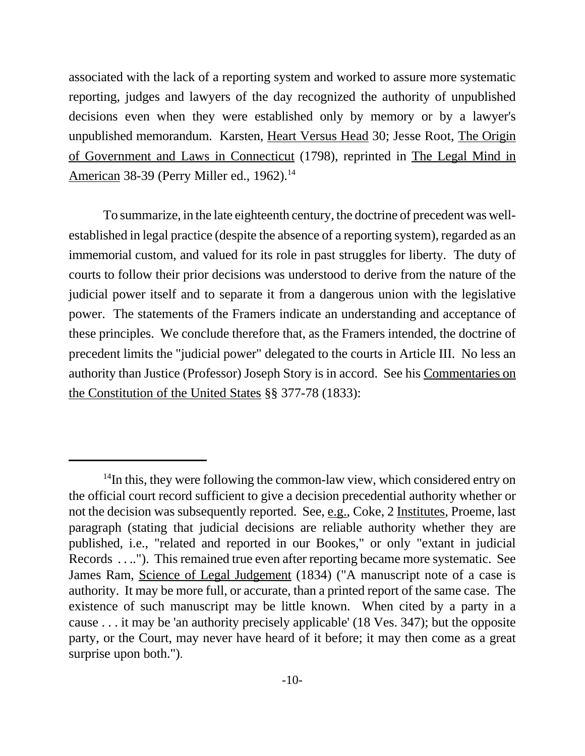associated with the lack of a reporting system and worked to assure more systematic reporting, judges and lawyers of the day recognized the authority of unpublished decisions even when they were established only by memory or by a lawyer's unpublished memorandum. Karsten, Heart Versus Head 30; Jesse Root, The Origin of Government and Laws in Connecticut (1798), reprinted in The Legal Mind in American 38-39 (Perry Miller ed., 1962).<sup>14</sup>

To summarize, in the late eighteenth century, the doctrine of precedent was wellestablished in legal practice (despite the absence of a reporting system), regarded as an immemorial custom, and valued for its role in past struggles for liberty. The duty of courts to follow their prior decisions was understood to derive from the nature of the judicial power itself and to separate it from a dangerous union with the legislative power. The statements of the Framers indicate an understanding and acceptance of these principles. We conclude therefore that, as the Framers intended, the doctrine of precedent limits the "judicial power" delegated to the courts in Article III. No less an authority than Justice (Professor) Joseph Story is in accord. See his Commentaries on the Constitution of the United States §§ 377-78 (1833):

 $14$ In this, they were following the common-law view, which considered entry on the official court record sufficient to give a decision precedential authority whether or not the decision was subsequently reported. See, e.g., Coke, 2 Institutes, Proeme, last paragraph (stating that judicial decisions are reliable authority whether they are published, i.e., "related and reported in our Bookes," or only "extant in judicial Records . . .."). This remained true even after reporting became more systematic. See James Ram, Science of Legal Judgement (1834) ("A manuscript note of a case is authority. It may be more full, or accurate, than a printed report of the same case. The existence of such manuscript may be little known. When cited by a party in a cause . . . it may be 'an authority precisely applicable' (18 Ves. 347); but the opposite party, or the Court, may never have heard of it before; it may then come as a great surprise upon both.").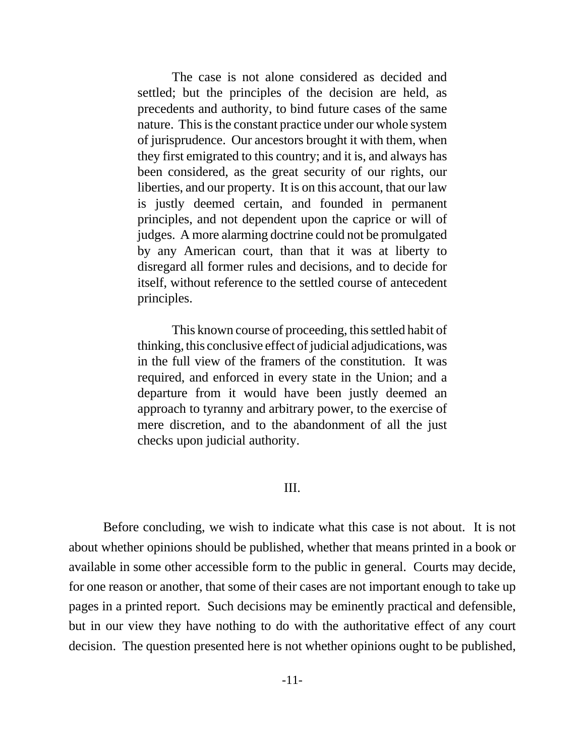The case is not alone considered as decided and settled; but the principles of the decision are held, as precedents and authority, to bind future cases of the same nature. This is the constant practice under our whole system of jurisprudence. Our ancestors brought it with them, when they first emigrated to this country; and it is, and always has been considered, as the great security of our rights, our liberties, and our property. It is on this account, that our law is justly deemed certain, and founded in permanent principles, and not dependent upon the caprice or will of judges. A more alarming doctrine could not be promulgated by any American court, than that it was at liberty to disregard all former rules and decisions, and to decide for itself, without reference to the settled course of antecedent principles.

This known course of proceeding, this settled habit of thinking, this conclusive effect of judicial adjudications, was in the full view of the framers of the constitution. It was required, and enforced in every state in the Union; and a departure from it would have been justly deemed an approach to tyranny and arbitrary power, to the exercise of mere discretion, and to the abandonment of all the just checks upon judicial authority.

#### III.

Before concluding, we wish to indicate what this case is not about. It is not about whether opinions should be published, whether that means printed in a book or available in some other accessible form to the public in general. Courts may decide, for one reason or another, that some of their cases are not important enough to take up pages in a printed report. Such decisions may be eminently practical and defensible, but in our view they have nothing to do with the authoritative effect of any court decision. The question presented here is not whether opinions ought to be published,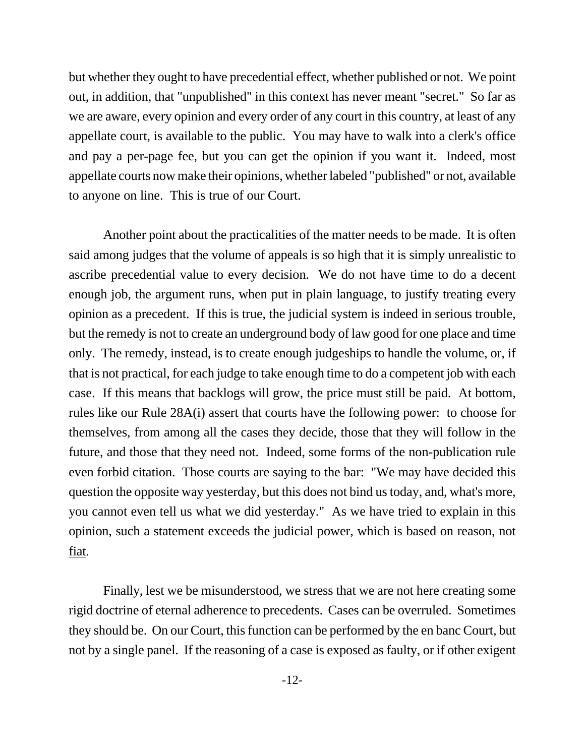but whether they ought to have precedential effect, whether published or not. We point out, in addition, that "unpublished" in this context has never meant "secret." So far as we are aware, every opinion and every order of any court in this country, at least of any appellate court, is available to the public. You may have to walk into a clerk's office and pay a per-page fee, but you can get the opinion if you want it. Indeed, most appellate courts now make their opinions, whether labeled "published" or not, available to anyone on line. This is true of our Court.

Another point about the practicalities of the matter needs to be made. It is often said among judges that the volume of appeals is so high that it is simply unrealistic to ascribe precedential value to every decision. We do not have time to do a decent enough job, the argument runs, when put in plain language, to justify treating every opinion as a precedent. If this is true, the judicial system is indeed in serious trouble, but the remedy is not to create an underground body of law good for one place and time only. The remedy, instead, is to create enough judgeships to handle the volume, or, if that is not practical, for each judge to take enough time to do a competent job with each case. If this means that backlogs will grow, the price must still be paid. At bottom, rules like our Rule 28A(i) assert that courts have the following power: to choose for themselves, from among all the cases they decide, those that they will follow in the future, and those that they need not. Indeed, some forms of the non-publication rule even forbid citation. Those courts are saying to the bar: "We may have decided this question the opposite way yesterday, but this does not bind us today, and, what's more, you cannot even tell us what we did yesterday." As we have tried to explain in this opinion, such a statement exceeds the judicial power, which is based on reason, not fiat.

Finally, lest we be misunderstood, we stress that we are not here creating some rigid doctrine of eternal adherence to precedents. Cases can be overruled. Sometimes they should be. On our Court, this function can be performed by the en banc Court, but not by a single panel. If the reasoning of a case is exposed as faulty, or if other exigent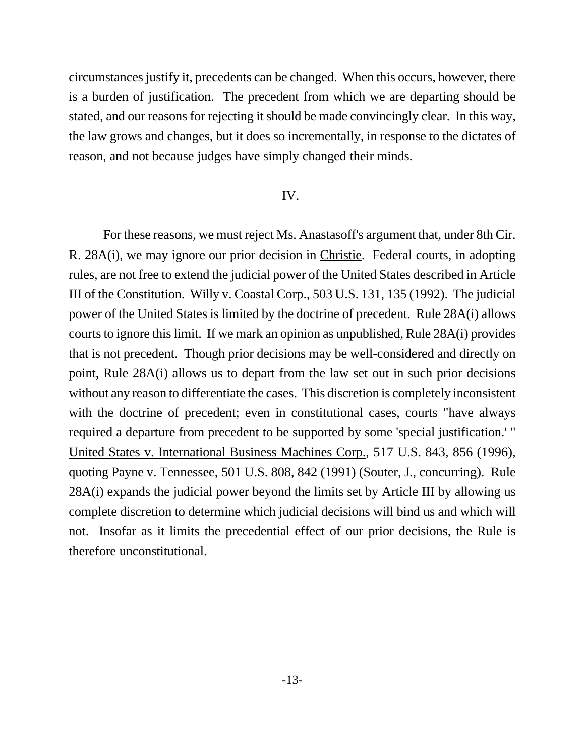circumstances justify it, precedents can be changed. When this occurs, however, there is a burden of justification. The precedent from which we are departing should be stated, and our reasons for rejecting it should be made convincingly clear. In this way, the law grows and changes, but it does so incrementally, in response to the dictates of reason, and not because judges have simply changed their minds.

## IV.

For these reasons, we must reject Ms. Anastasoff's argument that, under 8th Cir. R. 28A(i), we may ignore our prior decision in Christie. Federal courts, in adopting rules, are not free to extend the judicial power of the United States described in Article III of the Constitution. Willy v. Coastal Corp., 503 U.S. 131, 135 (1992). The judicial power of the United States is limited by the doctrine of precedent. Rule 28A(i) allows courts to ignore this limit. If we mark an opinion as unpublished, Rule 28A(i) provides that is not precedent. Though prior decisions may be well-considered and directly on point, Rule 28A(i) allows us to depart from the law set out in such prior decisions without any reason to differentiate the cases. This discretion is completely inconsistent with the doctrine of precedent; even in constitutional cases, courts "have always required a departure from precedent to be supported by some 'special justification.' " United States v. International Business Machines Corp., 517 U.S. 843, 856 (1996), quoting Payne v. Tennessee, 501 U.S. 808, 842 (1991) (Souter, J., concurring). Rule 28A(i) expands the judicial power beyond the limits set by Article III by allowing us complete discretion to determine which judicial decisions will bind us and which will not. Insofar as it limits the precedential effect of our prior decisions, the Rule is therefore unconstitutional.